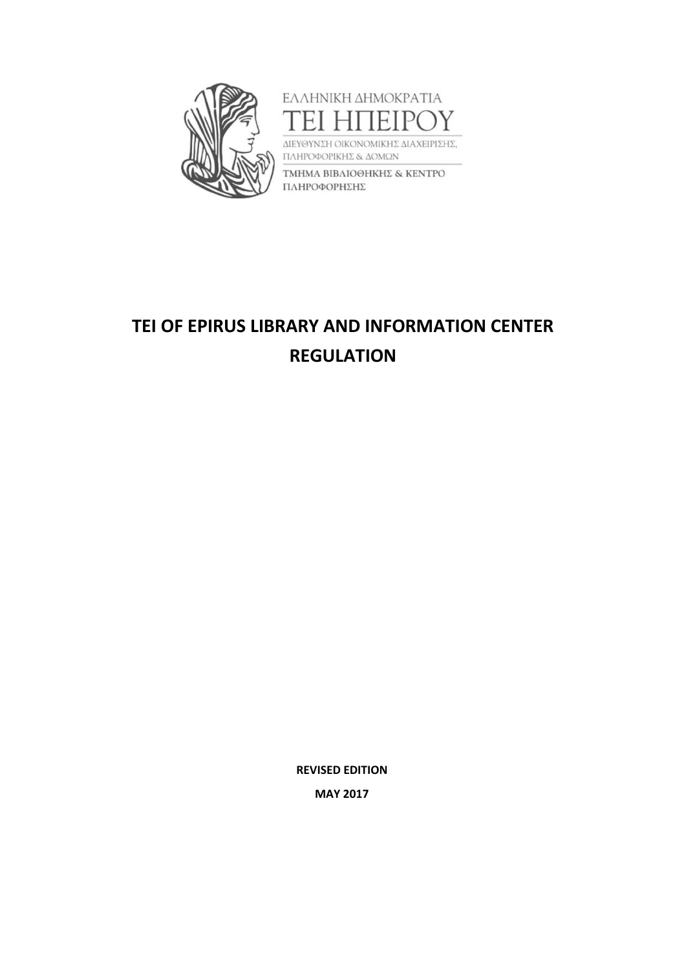



ΔΙΕΥΘΥΝΣΗ ΟΙΚΟΝΟΜΙΚΗΣ ΔΙΑΧΕΙΡΙΣΗΣ, ΠΛΗΡΟΦΟΡΙΚΗΣ & ΔΟΜΩΝ

ΤΜΗΜΑ ΒΙΒΛΙΟΘΗΚΗΣ & ΚΕΝΤΡΟ ΠΛΗΡΟΦΟΡΗΣΗΣ

# **TEI OF EPIRUS LIBRARY AND INFORMATION CENTER REGULATION**

**REVISED EDITION MAY 2017**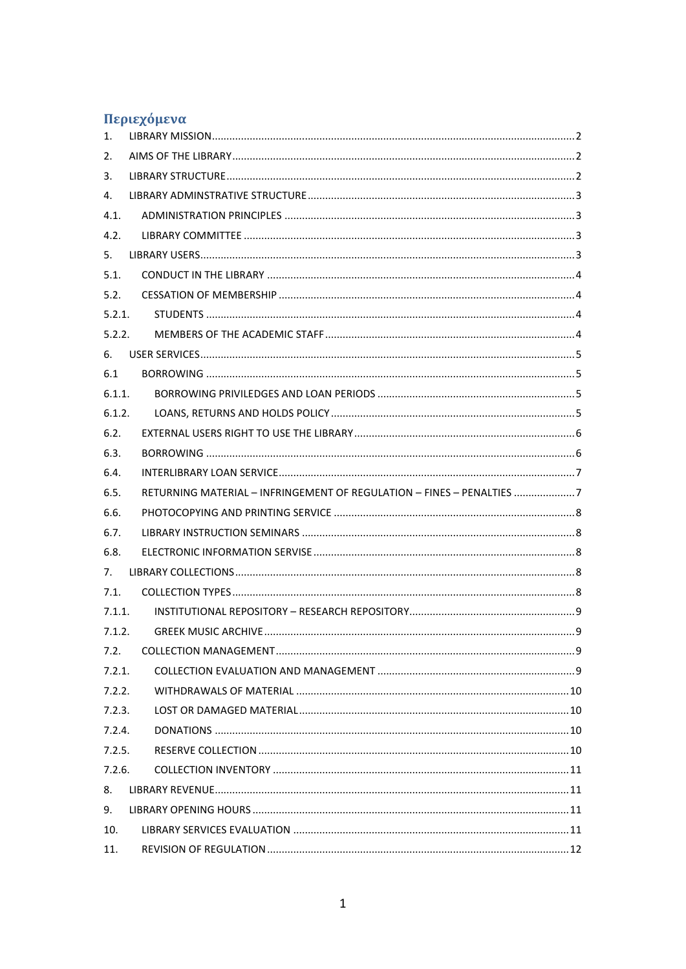# Περιεχόμενα

| 1.     |                                                                       |  |
|--------|-----------------------------------------------------------------------|--|
| 2.     |                                                                       |  |
| 3.     |                                                                       |  |
| 4.     |                                                                       |  |
| 4.1.   |                                                                       |  |
| 4.2.   |                                                                       |  |
| 5.     |                                                                       |  |
| 5.1.   |                                                                       |  |
| 5.2.   |                                                                       |  |
| 5.2.1. |                                                                       |  |
| 5.2.2. |                                                                       |  |
| 6.     |                                                                       |  |
| 6.1    |                                                                       |  |
| 6.1.1. |                                                                       |  |
| 6.1.2. |                                                                       |  |
| 6.2.   |                                                                       |  |
| 6.3.   |                                                                       |  |
| 6.4.   |                                                                       |  |
| 6.5.   | RETURNING MATERIAL - INFRINGEMENT OF REGULATION - FINES - PENALTIES 7 |  |
| 6.6.   |                                                                       |  |
| 6.7.   |                                                                       |  |
| 6.8.   |                                                                       |  |
| 7.     |                                                                       |  |
| 7.1.   |                                                                       |  |
| 7.1.1. |                                                                       |  |
| 7.1.2. |                                                                       |  |
| 7.2.   |                                                                       |  |
| 7.2.1. |                                                                       |  |
| 7.2.2. |                                                                       |  |
| 7.2.3. |                                                                       |  |
| 7.2.4. |                                                                       |  |
| 7.2.5. |                                                                       |  |
| 7.2.6. |                                                                       |  |
| 8.     |                                                                       |  |
| 9.     |                                                                       |  |
| 10.    |                                                                       |  |
| 11.    |                                                                       |  |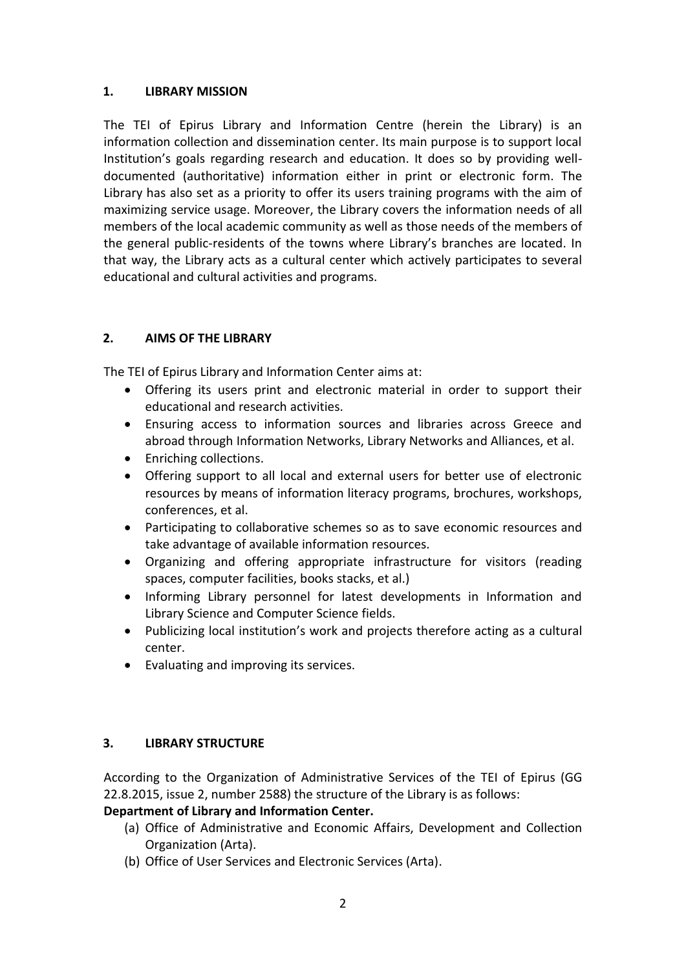#### <span id="page-2-0"></span>**1. LIBRARY MISSION**

The TEI of Epirus Library and Information Centre (herein the Library) is an information collection and dissemination center. Its main purpose is to support local Institution's goals regarding research and education. It does so by providing welldocumented (authoritative) information either in print or electronic form. The Library has also set as a priority to offer its users training programs with the aim of maximizing service usage. Moreover, the Library covers the information needs of all members of the local academic community as well as those needs of the members of the general public-residents of the towns where Library's branches are located. In that way, the Library acts as a cultural center which actively participates to several educational and cultural activities and programs.

# <span id="page-2-1"></span>**2. AIMS OF THE LIBRARY**

The TEI of Epirus Library and Information Center aims at:

- Offering its users print and electronic material in order to support their educational and research activities.
- Ensuring access to information sources and libraries across Greece and abroad through Information Networks, Library Networks and Alliances, et al.
- Enriching collections.
- Offering support to all local and external users for better use of electronic resources by means of information literacy programs, brochures, workshops, conferences, et al.
- Participating to collaborative schemes so as to save economic resources and take advantage of available information resources.
- Organizing and offering appropriate infrastructure for visitors (reading spaces, computer facilities, books stacks, et al.)
- Informing Library personnel for latest developments in Information and Library Science and Computer Science fields.
- Publicizing local institution's work and projects therefore acting as a cultural center.
- Evaluating and improving its services.

# <span id="page-2-2"></span>**3. LIBRARY STRUCTURE**

According to the Organization of Administrative Services of the TEI of Epirus (GG 22.8.2015, issue 2, number 2588) the structure of the Library is as follows:

# **Department of Library and Information Center.**

- (a) Office of Administrative and Economic Affairs, Development and Collection Organization (Arta).
- (b) Office of User Services and Electronic Services (Arta).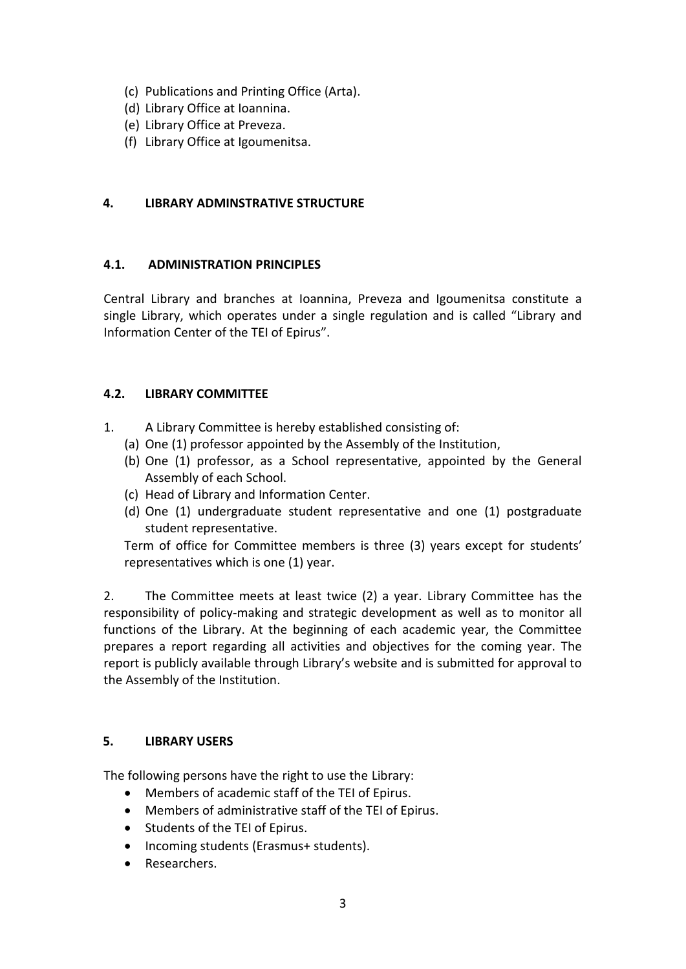- (c) Publications and Printing Office (Arta).
- (d) Library Office at Ioannina.
- (e) Library Office at Preveza.
- (f) Library Office at Igoumenitsa.

# <span id="page-3-0"></span>**4. LIBRARY ADMINSTRATIVE STRUCTURE**

# <span id="page-3-1"></span>**4.1. ADMINISTRATION PRINCIPLES**

Central Library and branches at Ioannina, Preveza and Igoumenitsa constitute a single Library, which operates under a single regulation and is called "Library and Information Center of the TEI of Epirus".

# <span id="page-3-2"></span>**4.2. LIBRARY COMMITTEE**

- 1. A Library Committee is hereby established consisting of:
	- (a) One (1) professor appointed by the Assembly of the Institution,
	- (b) One (1) professor, as a School representative, appointed by the General Assembly of each School.
	- (c) Head of Library and Information Center.
	- (d) One (1) undergraduate student representative and one (1) postgraduate student representative.

Term of office for Committee members is three (3) years except for students' representatives which is one (1) year.

2. The Committee meets at least twice (2) a year. Library Committee has the responsibility of policy-making and strategic development as well as to monitor all functions of the Library. At the beginning of each academic year, the Committee prepares a report regarding all activities and objectives for the coming year. The report is publicly available through Library's website and is submitted for approval to the Assembly of the Institution.

# <span id="page-3-3"></span>**5. LIBRARY USERS**

The following persons have the right to use the Library:

- Members of academic staff of the TEI of Epirus.
- Members of administrative staff of the TEI of Epirus.
- Students of the TEI of Epirus.
- Incoming students (Erasmus+ students).
- Researchers.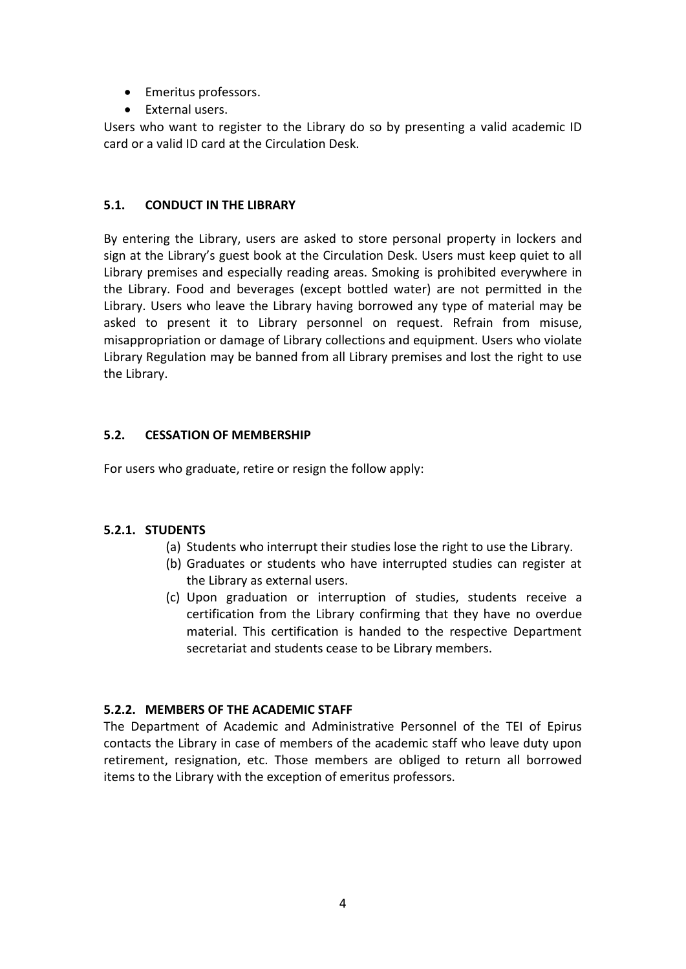- Emeritus professors.
- External users.

Users who want to register to the Library do so by presenting a valid academic ID card or a valid ID card at the Circulation Desk.

#### <span id="page-4-0"></span>**5.1. CONDUCT IN THE LIBRARY**

By entering the Library, users are asked to store personal property in lockers and sign at the Library's guest book at the Circulation Desk. Users must keep quiet to all Library premises and especially reading areas. Smoking is prohibited everywhere in the Library. Food and beverages (except bottled water) are not permitted in the Library. Users who leave the Library having borrowed any type of material may be asked to present it to Library personnel on request. Refrain from misuse, misappropriation or damage of Library collections and equipment. Users who violate Library Regulation may be banned from all Library premises and lost the right to use the Library.

# <span id="page-4-1"></span>**5.2. CESSATION OF MEMBERSHIP**

For users who graduate, retire or resign the follow apply:

# <span id="page-4-2"></span>**5.2.1. STUDENTS**

- (a) Students who interrupt their studies lose the right to use the Library.
- (b) Graduates or students who have interrupted studies can register at the Library as external users.
- (c) Upon graduation or interruption of studies, students receive a certification from the Library confirming that they have no overdue material. This certification is handed to the respective Department secretariat and students cease to be Library members.

# <span id="page-4-3"></span>**5.2.2. MEMBERS OF THE ACADEMIC STAFF**

The Department of Academic and Administrative Personnel of the TEI of Epirus contacts the Library in case of members of the academic staff who leave duty upon retirement, resignation, etc. Those members are obliged to return all borrowed items to the Library with the exception of emeritus professors.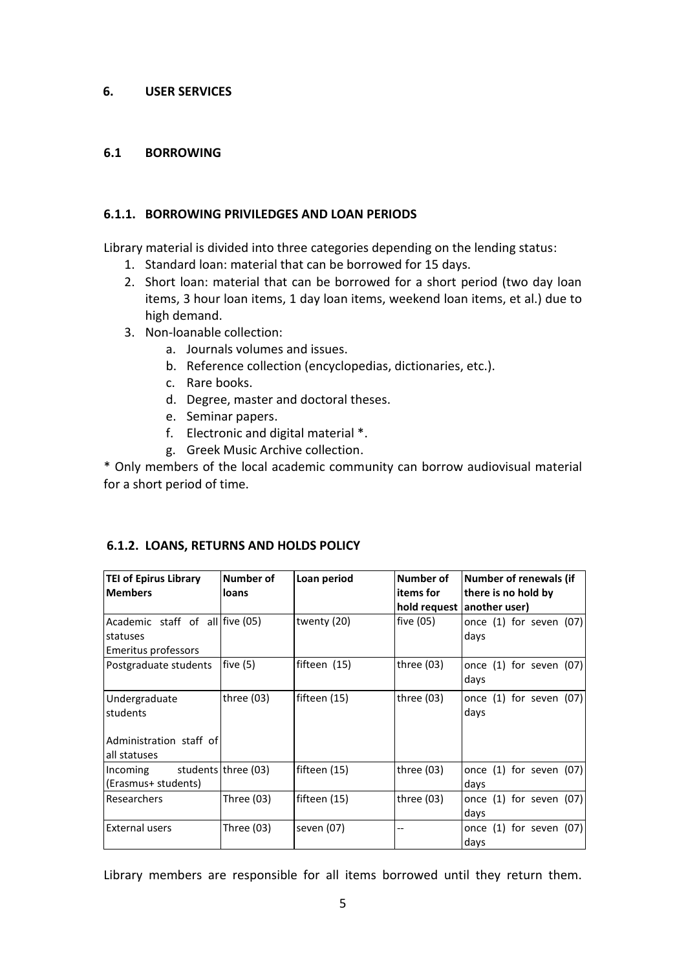#### <span id="page-5-0"></span>**6. USER SERVICES**

#### <span id="page-5-1"></span>**6.1 BORROWING**

#### <span id="page-5-2"></span>**6.1.1. BORROWING PRIVILEDGES AND LOAN PERIODS**

Library material is divided into three categories depending on the lending status:

- 1. Standard loan: material that can be borrowed for 15 days.
- 2. Short loan: material that can be borrowed for a short period (two day loan items, 3 hour loan items, 1 day loan items, weekend loan items, et al.) due to high demand.
- 3. Non-loanable collection:
	- a. Journals volumes and issues.
	- b. Reference collection (encyclopedias, dictionaries, etc.).
	- c. Rare books.
	- d. Degree, master and doctoral theses.
	- e. Seminar papers.
	- f. Electronic and digital material \*.
	- g. Greek Music Archive collection.

\* Only members of the local academic community can borrow audiovisual material for a short period of time.

| <b>TEI of Epirus Library</b><br><b>Members</b> | Number of<br>loans  | Loan period  | Number of<br>items for | <b>Number of renewals (if</b><br>there is no hold by |  |
|------------------------------------------------|---------------------|--------------|------------------------|------------------------------------------------------|--|
|                                                |                     |              |                        | hold request another user)                           |  |
| Academic staff of all five (05)                |                     | twenty (20)  | five (05)              | once $(1)$ for seven $(07)$                          |  |
| statuses                                       |                     |              |                        | days                                                 |  |
| Emeritus professors                            |                     |              |                        |                                                      |  |
| Postgraduate students                          | five(5)             | fifteen (15) | three $(03)$           | once $(1)$ for seven $(07)$                          |  |
|                                                |                     |              |                        | days                                                 |  |
| Undergraduate                                  | three (03)          | fifteen (15) | three $(03)$           | once $(1)$ for seven $(07)$                          |  |
| students                                       |                     |              |                        | days                                                 |  |
|                                                |                     |              |                        |                                                      |  |
| Administration staff of                        |                     |              |                        |                                                      |  |
| all statuses                                   |                     |              |                        |                                                      |  |
| Incoming                                       | students three (03) | fifteen (15) | three (03)             | once $(1)$ for seven $(07)$                          |  |
| (Erasmus+ students)                            |                     |              |                        | days                                                 |  |
| Researchers                                    | Three $(03)$        | fifteen (15) | three $(03)$           | once $(1)$ for seven $(07)$                          |  |
|                                                |                     |              |                        | days                                                 |  |
| <b>External users</b>                          | Three (03)          | seven (07)   | --                     | once $(1)$ for seven $(07)$                          |  |
|                                                |                     |              |                        | days                                                 |  |

#### <span id="page-5-3"></span>**6.1.2. LOANS, RETURNS AND HOLDS POLICY**

Library members are responsible for all items borrowed until they return them.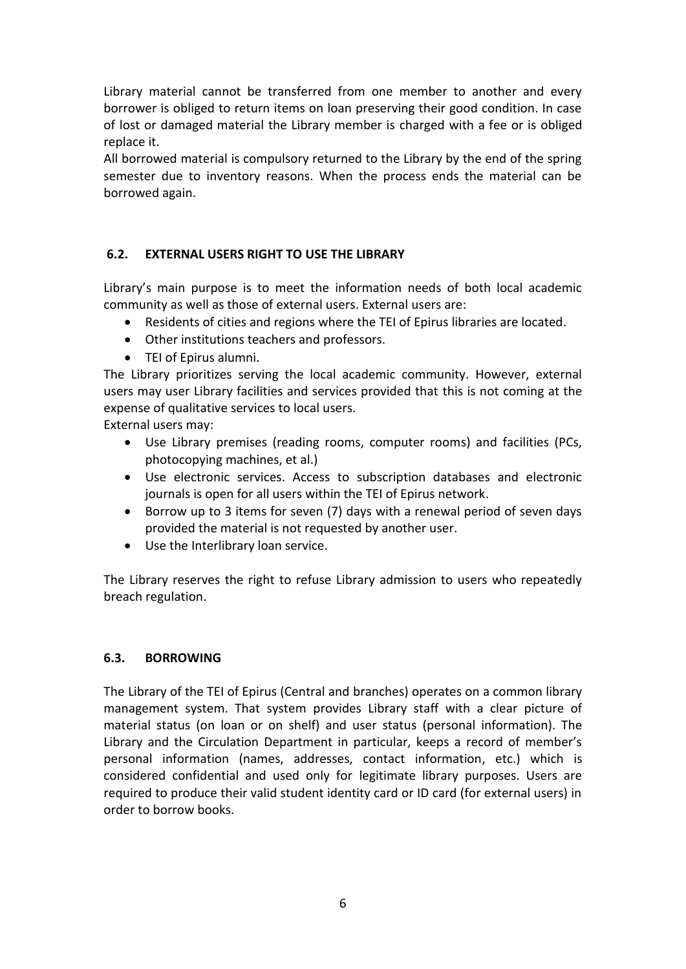Library material cannot be transferred from one member to another and every borrower is obliged to return items on loan preserving their good condition. In case of lost or damaged material the Library member is charged with a fee or is obliged replace it.

All borrowed material is compulsory returned to the Library by the end of the spring semester due to inventory reasons. When the process ends the material can be borrowed again.

# <span id="page-6-0"></span>**6.2. EXTERNAL USERS RIGHT TO USE THE LIBRARY**

Library's main purpose is to meet the information needs of both local academic community as well as those of external users. External users are:

- Residents of cities and regions where the TEI of Epirus libraries are located.
- Other institutions teachers and professors.
- TEI of Epirus alumni.

The Library prioritizes serving the local academic community. However, external users may user Library facilities and services provided that this is not coming at the expense of qualitative services to local users.

External users may:

- Use Library premises (reading rooms, computer rooms) and facilities (PCs, photocopying machines, et al.)
- Use electronic services. Access to subscription databases and electronic journals is open for all users within the TEI of Epirus network.
- Borrow up to 3 items for seven (7) days with a renewal period of seven days provided the material is not requested by another user.
- Use the Interlibrary loan service.

The Library reserves the right to refuse Library admission to users who repeatedly breach regulation.

# <span id="page-6-1"></span>**6.3. BORROWING**

The Library of the TEI of Epirus (Central and branches) operates on a common library management system. That system provides Library staff with a clear picture of material status (on loan or on shelf) and user status (personal information). The Library and the Circulation Department in particular, keeps a record of member's personal information (names, addresses, contact information, etc.) which is considered confidential and used only for legitimate library purposes. Users are required to produce their valid student identity card or ID card (for external users) in order to borrow books.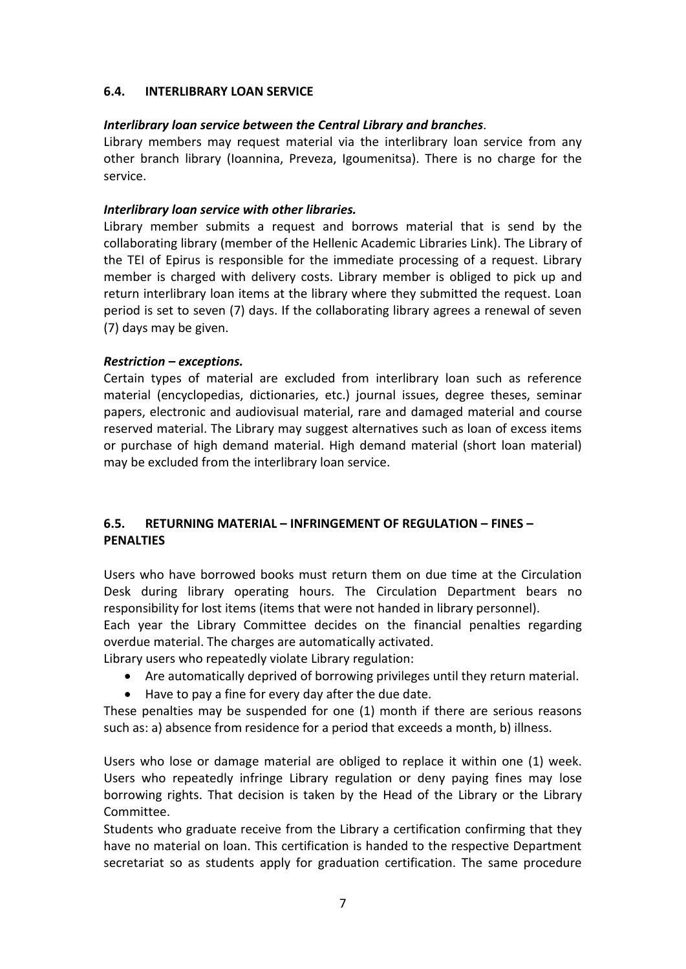#### <span id="page-7-0"></span>**6.4. INTERLIBRARY LOAN SERVICE**

#### *Interlibrary loan service between the Central Library and branches*.

Library members may request material via the interlibrary loan service from any other branch library (Ioannina, Preveza, Igoumenitsa). There is no charge for the service.

#### *Interlibrary loan service with other libraries.*

Library member submits a request and borrows material that is send by the collaborating library (member of the Hellenic Academic Libraries Link). The Library of the TEI of Epirus is responsible for the immediate processing of a request. Library member is charged with delivery costs. Library member is obliged to pick up and return interlibrary loan items at the library where they submitted the request. Loan period is set to seven (7) days. If the collaborating library agrees a renewal of seven (7) days may be given.

#### *Restriction – exceptions.*

Certain types of material are excluded from interlibrary loan such as reference material (encyclopedias, dictionaries, etc.) journal issues, degree theses, seminar papers, electronic and audiovisual material, rare and damaged material and course reserved material. The Library may suggest alternatives such as loan of excess items or purchase of high demand material. High demand material (short loan material) may be excluded from the interlibrary loan service.

# <span id="page-7-1"></span>**6.5. RETURNING MATERIAL – INFRINGEMENT OF REGULATION – FINES – PENALTIES**

Users who have borrowed books must return them on due time at the Circulation Desk during library operating hours. The Circulation Department bears no responsibility for lost items (items that were not handed in library personnel).

Each year the Library Committee decides on the financial penalties regarding overdue material. The charges are automatically activated.

Library users who repeatedly violate Library regulation:

- Are automatically deprived of borrowing privileges until they return material.
- Have to pay a fine for every day after the due date.

These penalties may be suspended for one (1) month if there are serious reasons such as: a) absence from residence for a period that exceeds a month, b) illness.

Users who lose or damage material are obliged to replace it within one (1) week. Users who repeatedly infringe Library regulation or deny paying fines may lose borrowing rights. That decision is taken by the Head of the Library or the Library Committee.

Students who graduate receive from the Library a certification confirming that they have no material on loan. This certification is handed to the respective Department secretariat so as students apply for graduation certification. The same procedure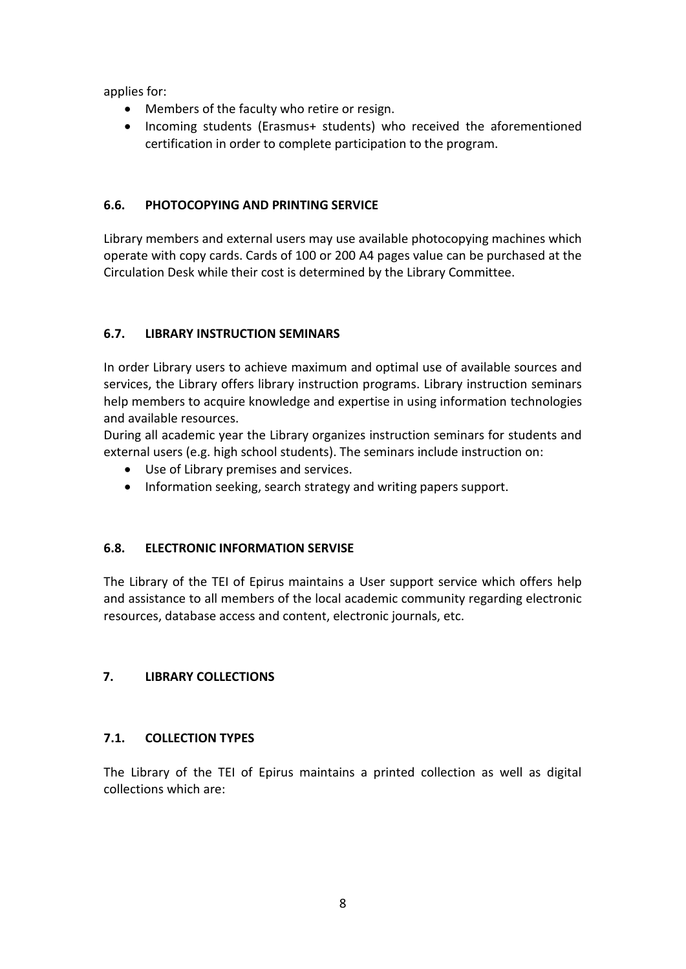applies for:

- Members of the faculty who retire or resign.
- Incoming students (Erasmus+ students) who received the aforementioned certification in order to complete participation to the program.

# <span id="page-8-0"></span>**6.6. PHOTOCOPYING AND PRINTING SERVICE**

Library members and external users may use available photocopying machines which operate with copy cards. Cards of 100 or 200 A4 pages value can be purchased at the Circulation Desk while their cost is determined by the Library Committee.

# <span id="page-8-1"></span>**6.7. LIBRARY INSTRUCTION SEMINARS**

In order Library users to achieve maximum and optimal use of available sources and services, the Library offers library instruction programs. Library instruction seminars help members to acquire knowledge and expertise in using information technologies and available resources.

During all academic year the Library organizes instruction seminars for students and external users (e.g. high school students). The seminars include instruction on:

- Use of Library premises and services.
- Information seeking, search strategy and writing papers support.

# <span id="page-8-2"></span>**6.8. ELECTRONIC INFORMATION SERVISE**

The Library of the TEI of Epirus maintains a User support service which offers help and assistance to all members of the local academic community regarding electronic resources, database access and content, electronic journals, etc.

# <span id="page-8-3"></span>**7. LIBRARY COLLECTIONS**

# <span id="page-8-4"></span>**7.1. COLLECTION TYPES**

The Library of the TEI of Epirus maintains a printed collection as well as digital collections which are: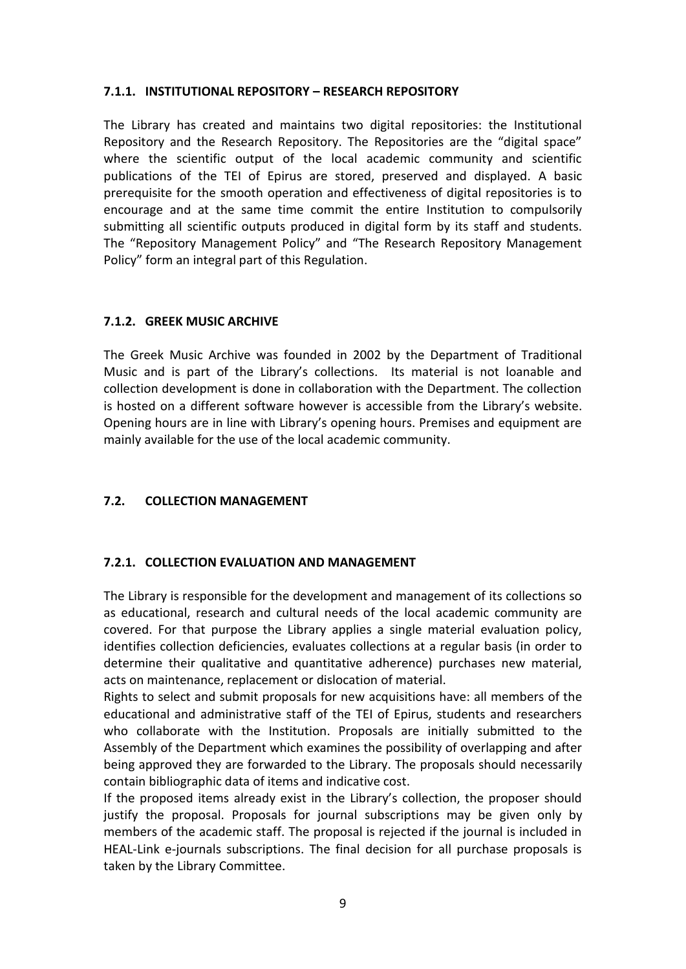#### <span id="page-9-0"></span>**7.1.1. INSTITUTIONAL REPOSITORY – RESEARCH REPOSITORY**

The Library has created and maintains two digital repositories: the Institutional Repository and the Research Repository. The Repositories are the "digital space" where the scientific output of the local academic community and scientific publications of the TEI of Epirus are stored, preserved and displayed. A basic prerequisite for the smooth operation and effectiveness of digital repositories is to encourage and at the same time commit the entire Institution to compulsorily submitting all scientific outputs produced in digital form by its staff and students. The "Repository Management Policy" and "The Research Repository Management Policy" form an integral part of this Regulation.

#### <span id="page-9-1"></span>**7.1.2. GREEK MUSIC ARCHIVE**

The Greek Music Archive was founded in 2002 by the Department of Traditional Music and is part of the Library's collections. Its material is not loanable and collection development is done in collaboration with the Department. The collection is hosted on a different software however is accessible from the Library's website. Opening hours are in line with Library's opening hours. Premises and equipment are mainly available for the use of the local academic community.

# <span id="page-9-2"></span>**7.2. COLLECTION MANAGEMENT**

#### <span id="page-9-3"></span>**7.2.1. COLLECTION EVALUATION AND MANAGEMENT**

The Library is responsible for the development and management of its collections so as educational, research and cultural needs of the local academic community are covered. For that purpose the Library applies a single material evaluation policy, identifies collection deficiencies, evaluates collections at a regular basis (in order to determine their qualitative and quantitative adherence) purchases new material, acts on maintenance, replacement or dislocation of material.

Rights to select and submit proposals for new acquisitions have: all members of the educational and administrative staff of the TEI of Epirus, students and researchers who collaborate with the Institution. Proposals are initially submitted to the Assembly of the Department which examines the possibility of overlapping and after being approved they are forwarded to the Library. The proposals should necessarily contain bibliographic data of items and indicative cost.

If the proposed items already exist in the Library's collection, the proposer should justify the proposal. Proposals for journal subscriptions may be given only by members of the academic staff. The proposal is rejected if the journal is included in HEAL-Link e-journals subscriptions. The final decision for all purchase proposals is taken by the Library Committee.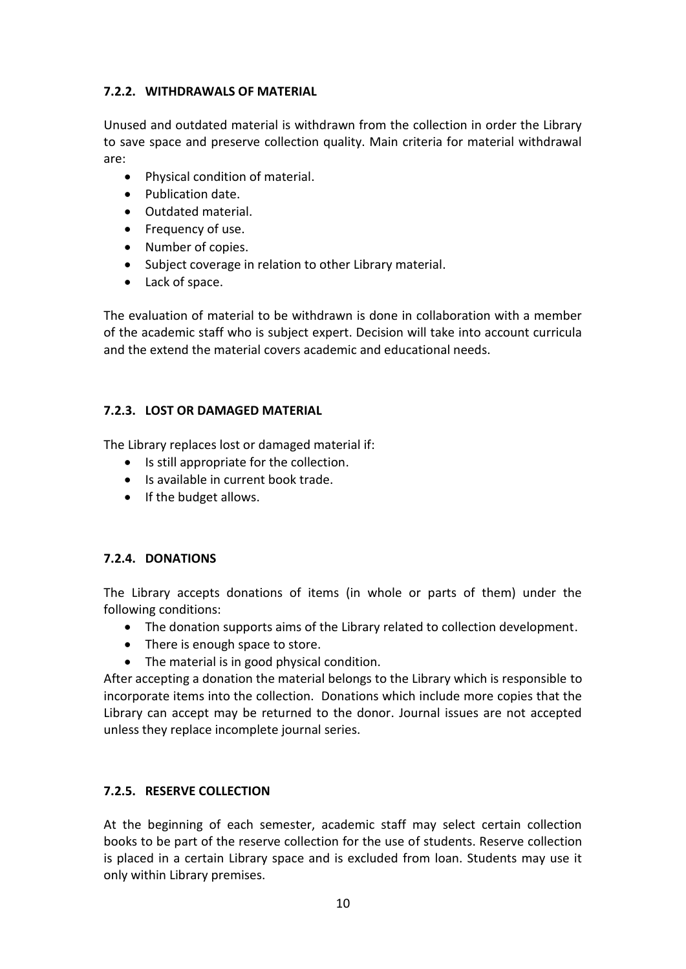# <span id="page-10-0"></span>**7.2.2. WITHDRAWALS OF MATERIAL**

Unused and outdated material is withdrawn from the collection in order the Library to save space and preserve collection quality. Main criteria for material withdrawal are:

- Physical condition of material.
- Publication date.
- Outdated material.
- Frequency of use.
- Number of copies.
- Subject coverage in relation to other Library material.
- Lack of space.

The evaluation of material to be withdrawn is done in collaboration with a member of the academic staff who is subject expert. Decision will take into account curricula and the extend the material covers academic and educational needs.

# <span id="page-10-1"></span>**7.2.3. LOST OR DAMAGED MATERIAL**

The Library replaces lost or damaged material if:

- Is still appropriate for the collection.
- Is available in current book trade.
- If the budget allows.

# <span id="page-10-2"></span>**7.2.4. DONATIONS**

The Library accepts donations of items (in whole or parts of them) under the following conditions:

- The donation supports aims of the Library related to collection development.
- There is enough space to store.
- The material is in good physical condition.

After accepting a donation the material belongs to the Library which is responsible to incorporate items into the collection. Donations which include more copies that the Library can accept may be returned to the donor. Journal issues are not accepted unless they replace incomplete journal series.

# <span id="page-10-3"></span>**7.2.5. RESERVE COLLECTION**

At the beginning of each semester, academic staff may select certain collection books to be part of the reserve collection for the use of students. Reserve collection is placed in a certain Library space and is excluded from loan. Students may use it only within Library premises.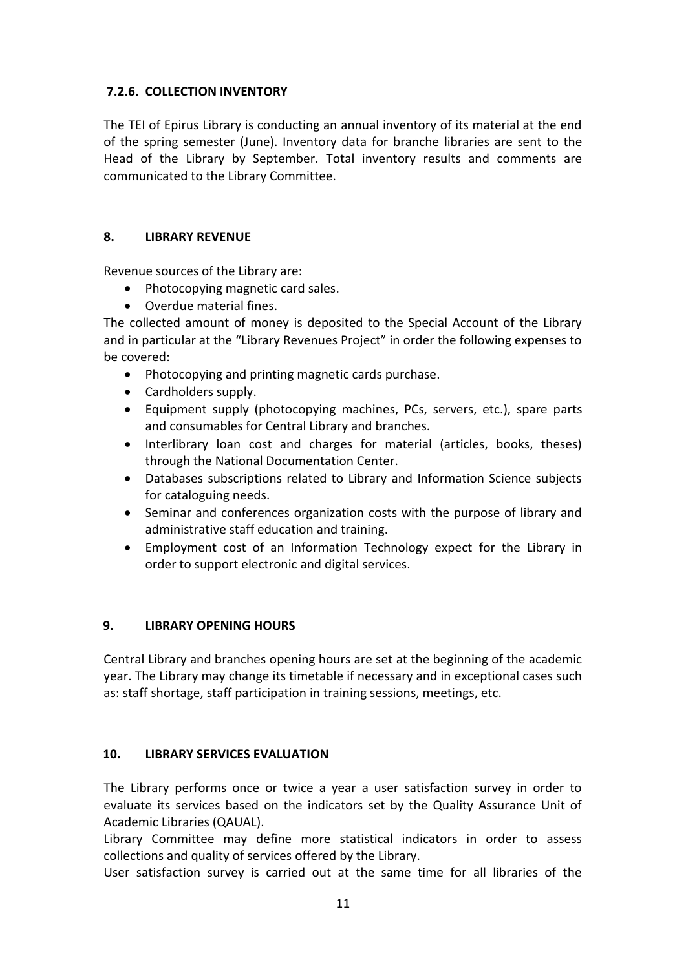# <span id="page-11-0"></span>**7.2.6. COLLECTION INVENTORY**

The TEI of Epirus Library is conducting an annual inventory of its material at the end of the spring semester (June). Inventory data for branche libraries are sent to the Head of the Library by September. Total inventory results and comments are communicated to the Library Committee.

#### <span id="page-11-1"></span>**8. LIBRARY REVENUE**

Revenue sources of the Library are:

- Photocopying magnetic card sales.
- Overdue material fines.

The collected amount of money is deposited to the Special Account of the Library and in particular at the "Library Revenues Project" in order the following expenses to be covered:

- Photocopying and printing magnetic cards purchase.
- Cardholders supply.
- Equipment supply (photocopying machines, PCs, servers, etc.), spare parts and consumables for Central Library and branches.
- Interlibrary loan cost and charges for material (articles, books, theses) through the National Documentation Center.
- Databases subscriptions related to Library and Information Science subjects for cataloguing needs.
- Seminar and conferences organization costs with the purpose of library and administrative staff education and training.
- Employment cost of an Information Technology expect for the Library in order to support electronic and digital services.

# <span id="page-11-2"></span>**9. LIBRARY OPENING HOURS**

Central Library and branches opening hours are set at the beginning of the academic year. The Library may change its timetable if necessary and in exceptional cases such as: staff shortage, staff participation in training sessions, meetings, etc.

# <span id="page-11-3"></span>**10. LIBRARY SERVICES EVALUATION**

The Library performs once or twice a year a user satisfaction survey in order to evaluate its services based on the indicators set by the Quality Assurance Unit of Academic Libraries (QAUAL).

Library Committee may define more statistical indicators in order to assess collections and quality of services offered by the Library.

User satisfaction survey is carried out at the same time for all libraries of the